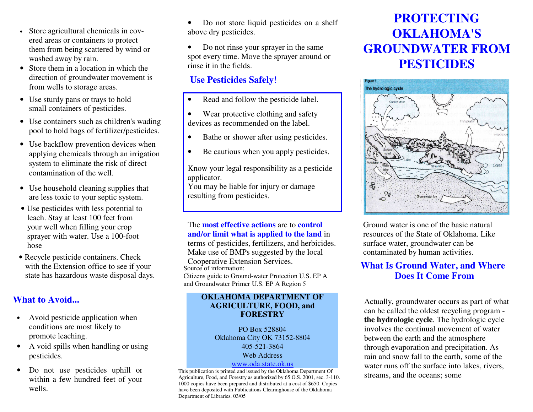- Store agricultural chemicals in covered areas or containers to protect them from being scattered by wind or washed away by rain.
- Store them in a location in which the direction of groundwater movement is from wells to storage areas.
- Use sturdy pans or trays to hold small containers of pesticides.
- Use containers such as children's wading pool to hold bags of fertilizer/pesticides.
- Use backflow prevention devices when applying chemicals through an irrigation system to eliminate the risk of direct contamination of the well.
- Use household cleaning supplies that are less toxic to your septic system.
- Use pesticides with less potential to leach. Stay at least 100 feet from your well when filling your crop sprayer with water. Use a 100-foot hose
- Recycle pesticide containers. Check with the Extension office to see if your state has hazardous waste disposal days.

### **What to Avoid...**

- Avoid pesticide application when conditions are most likely to promote leaching.
- $\bullet$  A void spills when handling or using pesticides.
- Do not use pesticides uphill or within a few hundred feet of your wells.

• Do not store liquid pesticides on a shelf above dry pesticides.

 $\bullet$  Do not rinse your sprayer in the same spot every time. Move the sprayer around or rinse it in the fields.

# **Use Pesticides Safely**!

- Read and follow the pesticide label.
- Wear protective clothing and safety devices as recommended on the label.
- Bathe or shower after using pesticides.
- Be cautious when you apply pesticides.

Know your legal responsibility as a pesticide applicator.

 You may be liable for injury or damage resulting from pesticides.

The **most effective actions** are to **control and/or limit what is applied to the land** in terms of pesticides, fertilizers, and herbicides. Make use of BMPs suggested by the local Cooperative Extension Services.

Source of information:

 Citizens guide to Ground-water Protection U.S. EP Aand Groundwater Primer U.S. EP A Region 5

### **OKLAHOMA DEPARTMENT OF AGRICULTURE, FOOD, and FORESTRY**

PO Box 528804 Oklahoma City OK 73152-8804 405-521-3864 Web Address

#### www.oda.state.ok.us

 This publication is printed and issued by the Oklahoma Department Of Agriculture, Food, and Forestry as authorized by 65 O.S. 2001, sec. 3-110. 1000 copies have been prepared and distributed at a cost of \$650. Copies have been deposited with Publications Clearinghouse of the Oklahoma Department of Libraries. 03/05

# **PROTECTING OKLAHOMA'S GROUNDWATER FROM PESTICIDES**



Ground water is one of the basic natural resources of the State of Oklahoma. Like surface water, groundwater can be contaminated by human activities.

## **What Is Ground Water, and WhereDoes It Come From**

Actually, groundwater occurs as part of what can be called the oldest recycling program **the hydrologic cycle**. The hydrologic cycle involves the continual movement of water between the earth and the atmosphere through evaporation and precipitation. As rain and snow fall to the earth, some of the water runs off the surface into lakes, rivers, streams, and the oceans; some